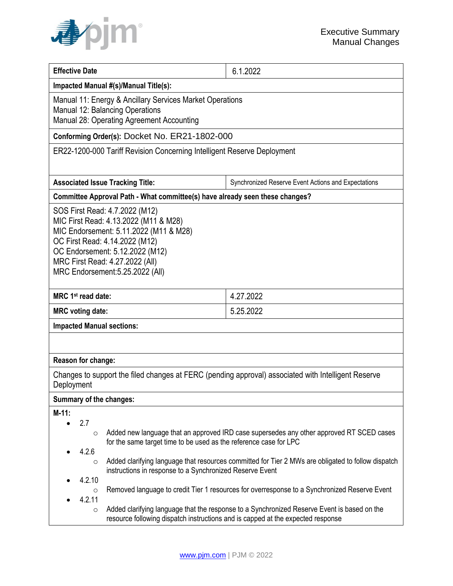

| <b>Effective Date</b>                                                                                                                                                                                                                                                                                       | 6.1.2022                                                                                                                                                                                                                                                                                                                                                                                      |  |
|-------------------------------------------------------------------------------------------------------------------------------------------------------------------------------------------------------------------------------------------------------------------------------------------------------------|-----------------------------------------------------------------------------------------------------------------------------------------------------------------------------------------------------------------------------------------------------------------------------------------------------------------------------------------------------------------------------------------------|--|
| Impacted Manual #(s)/Manual Title(s):                                                                                                                                                                                                                                                                       |                                                                                                                                                                                                                                                                                                                                                                                               |  |
| Manual 11: Energy & Ancillary Services Market Operations<br>Manual 12: Balancing Operations<br>Manual 28: Operating Agreement Accounting                                                                                                                                                                    |                                                                                                                                                                                                                                                                                                                                                                                               |  |
| Conforming Order(s): Docket No. ER21-1802-000                                                                                                                                                                                                                                                               |                                                                                                                                                                                                                                                                                                                                                                                               |  |
| ER22-1200-000 Tariff Revision Concerning Intelligent Reserve Deployment                                                                                                                                                                                                                                     |                                                                                                                                                                                                                                                                                                                                                                                               |  |
| <b>Associated Issue Tracking Title:</b>                                                                                                                                                                                                                                                                     | Synchronized Reserve Event Actions and Expectations                                                                                                                                                                                                                                                                                                                                           |  |
| Committee Approval Path - What committee(s) have already seen these changes?                                                                                                                                                                                                                                |                                                                                                                                                                                                                                                                                                                                                                                               |  |
| SOS First Read: 4.7.2022 (M12)<br>MIC First Read: 4.13.2022 (M11 & M28)<br>MIC Endorsement: 5.11.2022 (M11 & M28)<br>OC First Read: 4.14.2022 (M12)<br>OC Endorsement: 5.12.2022 (M12)<br>MRC First Read: 4.27.2022 (All)<br>MRC Endorsement: 5.25.2022 (All)                                               |                                                                                                                                                                                                                                                                                                                                                                                               |  |
| MRC 1 <sup>st</sup> read date:                                                                                                                                                                                                                                                                              | 4.27.2022                                                                                                                                                                                                                                                                                                                                                                                     |  |
| <b>MRC</b> voting date:                                                                                                                                                                                                                                                                                     | 5.25.2022                                                                                                                                                                                                                                                                                                                                                                                     |  |
| <b>Impacted Manual sections:</b>                                                                                                                                                                                                                                                                            |                                                                                                                                                                                                                                                                                                                                                                                               |  |
|                                                                                                                                                                                                                                                                                                             |                                                                                                                                                                                                                                                                                                                                                                                               |  |
| Reason for change:                                                                                                                                                                                                                                                                                          |                                                                                                                                                                                                                                                                                                                                                                                               |  |
| Changes to support the filed changes at FERC (pending approval) associated with Intelligent Reserve<br>Deployment                                                                                                                                                                                           |                                                                                                                                                                                                                                                                                                                                                                                               |  |
| Summary of the changes:                                                                                                                                                                                                                                                                                     |                                                                                                                                                                                                                                                                                                                                                                                               |  |
| $M-11:$<br>2.7<br>$\circ$<br>for the same target time to be used as the reference case for LPC<br>4.2.6<br>$\circ$<br>instructions in response to a Synchronized Reserve Event<br>4.2.10<br>$\circ$<br>4.2.11<br>$\circ$<br>resource following dispatch instructions and is capped at the expected response | Added new language that an approved IRD case supersedes any other approved RT SCED cases<br>Added clarifying language that resources committed for Tier 2 MWs are obligated to follow dispatch<br>Removed language to credit Tier 1 resources for overresponse to a Synchronized Reserve Event<br>Added clarifying language that the response to a Synchronized Reserve Event is based on the |  |